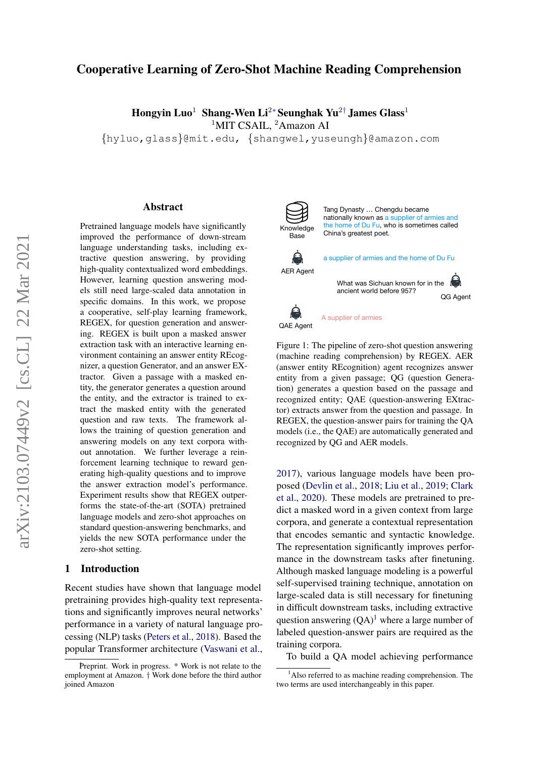# Cooperative Learning of Zero-Shot Machine Reading Comprehension

Hongyin Luo<sup>1</sup> Shang-Wen Li<sup>2∗</sup> Seunghak Yu<sup>2†</sup> James Glass<sup>1</sup> <sup>1</sup>MIT CSAIL, <sup>2</sup>Amazon AI

{hyluo,glass}@mit.edu, {shangwel,yuseungh}@amazon.com

#### Abstract

Pretrained language models have significantly improved the performance of down-stream language understanding tasks, including extractive question answering, by providing high-quality contextualized word embeddings. However, learning question answering models still need large-scaled data annotation in specific domains. In this work, we propose a cooperative, self-play learning framework, REGEX, for question generation and answering. REGEX is built upon a masked answer extraction task with an interactive learning environment containing an answer entity REcognizer, a question Generator, and an answer EXtractor. Given a passage with a masked entity, the generator generates a question around the entity, and the extractor is trained to extract the masked entity with the generated question and raw texts. The framework allows the training of question generation and answering models on any text corpora without annotation. We further leverage a reinforcement learning technique to reward generating high-quality questions and to improve the answer extraction model's performance. Experiment results show that REGEX outperforms the state-of-the-art (SOTA) pretrained language models and zero-shot approaches on standard question-answering benchmarks, and yields the new SOTA performance under the zero-shot setting.

# 1 Introduction

Recent studies have shown that language model pretraining provides high-quality text representations and significantly improves neural networks' performance in a variety of natural language processing (NLP) tasks [\(Peters et al.,](#page-10-0) [2018\)](#page-10-0). Based the popular Transformer architecture [\(Vaswani et al.,](#page-10-1)

<span id="page-0-1"></span>

AER Agent

8

Tang Dynasty … Chengdu became nationally known as a supplier of armies and the home of Du Fu, who is sometimes called China's greatest poet. a supplier of armies and the home of Du Fu QG Agent What was Sichuan known for in the ancient world before 957?



A supplier of armies

Figure 1: The pipeline of zero-shot question answering (machine reading comprehension) by REGEX. AER (answer entity REcognition) agent recognizes answer entity from a given passage; QG (question Generation) generates a question based on the passage and recognized entity; QAE (question-answering EXtractor) extracts answer from the question and passage. In REGEX, the question-answer pairs for training the QA models (i.e., the QAE) are automatically generated and recognized by QG and AER models.

[2017\)](#page-10-1), various language models have been proposed [\(Devlin et al.,](#page-9-0) [2018;](#page-9-0) [Liu et al.,](#page-9-1) [2019;](#page-9-1) [Clark](#page-9-2) [et al.,](#page-9-2) [2020\)](#page-9-2). These models are pretrained to predict a masked word in a given context from large corpora, and generate a contextual representation that encodes semantic and syntactic knowledge. The representation significantly improves performance in the downstream tasks after finetuning. Although masked language modeling is a powerful self-supervised training technique, annotation on large-scaled data is still necessary for finetuning in difficult downstream tasks, including extractive question answering  $(QA)^1$  $(QA)^1$  where a large number of labeled question-answer pairs are required as the training corpora.

To build a QA model achieving performance

Preprint. Work in progress. \* Work is not relate to the employment at Amazon. † Work done before the third author joined Amazon

<span id="page-0-0"></span> $<sup>1</sup>$ Also referred to as machine reading comprehension. The</sup> two terms are used interchangeably in this paper.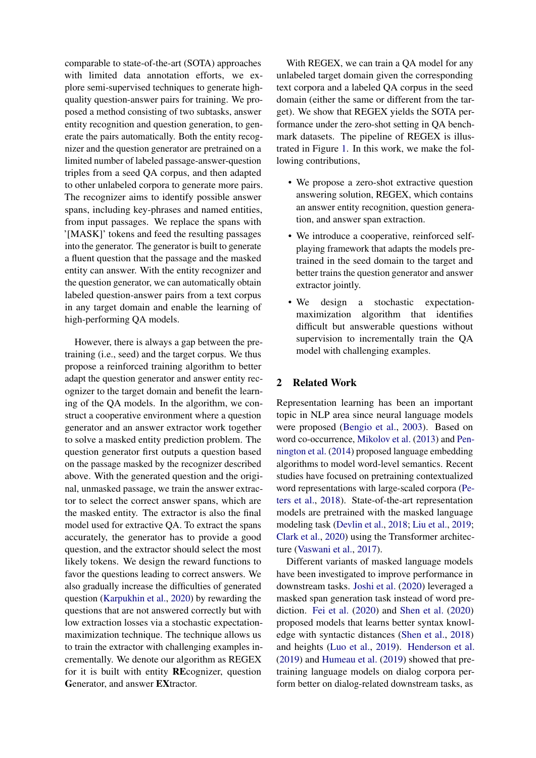comparable to state-of-the-art (SOTA) approaches with limited data annotation efforts, we explore semi-supervised techniques to generate highquality question-answer pairs for training. We proposed a method consisting of two subtasks, answer entity recognition and question generation, to generate the pairs automatically. Both the entity recognizer and the question generator are pretrained on a limited number of labeled passage-answer-question triples from a seed QA corpus, and then adapted to other unlabeled corpora to generate more pairs. The recognizer aims to identify possible answer spans, including key-phrases and named entities, from input passages. We replace the spans with '[MASK]' tokens and feed the resulting passages into the generator. The generator is built to generate a fluent question that the passage and the masked entity can answer. With the entity recognizer and the question generator, we can automatically obtain labeled question-answer pairs from a text corpus in any target domain and enable the learning of high-performing QA models.

However, there is always a gap between the pretraining (i.e., seed) and the target corpus. We thus propose a reinforced training algorithm to better adapt the question generator and answer entity recognizer to the target domain and benefit the learning of the QA models. In the algorithm, we construct a cooperative environment where a question generator and an answer extractor work together to solve a masked entity prediction problem. The question generator first outputs a question based on the passage masked by the recognizer described above. With the generated question and the original, unmasked passage, we train the answer extractor to select the correct answer spans, which are the masked entity. The extractor is also the final model used for extractive QA. To extract the spans accurately, the generator has to provide a good question, and the extractor should select the most likely tokens. We design the reward functions to favor the questions leading to correct answers. We also gradually increase the difficulties of generated question [\(Karpukhin et al.,](#page-9-3) [2020\)](#page-9-3) by rewarding the questions that are not answered correctly but with low extraction losses via a stochastic expectationmaximization technique. The technique allows us to train the extractor with challenging examples incrementally. We denote our algorithm as REGEX for it is built with entity REcognizer, question Generator, and answer EXtractor.

With REGEX, we can train a QA model for any unlabeled target domain given the corresponding text corpora and a labeled QA corpus in the seed domain (either the same or different from the target). We show that REGEX yields the SOTA performance under the zero-shot setting in QA benchmark datasets. The pipeline of REGEX is illustrated in Figure [1.](#page-0-1) In this work, we make the following contributions,

- We propose a zero-shot extractive question answering solution, REGEX, which contains an answer entity recognition, question generation, and answer span extraction.
- We introduce a cooperative, reinforced selfplaying framework that adapts the models pretrained in the seed domain to the target and better trains the question generator and answer extractor jointly.
- We design a stochastic expectationmaximization algorithm that identifies difficult but answerable questions without supervision to incrementally train the QA model with challenging examples.

# 2 Related Work

Representation learning has been an important topic in NLP area since neural language models were proposed [\(Bengio et al.,](#page-9-4) [2003\)](#page-9-4). Based on word co-occurrence, [Mikolov et al.](#page-9-5) [\(2013\)](#page-9-5) and [Pen](#page-10-2)[nington et al.](#page-10-2) [\(2014\)](#page-10-2) proposed language embedding algorithms to model word-level semantics. Recent studies have focused on pretraining contextualized word representations with large-scaled corpora [\(Pe](#page-10-0)[ters et al.,](#page-10-0) [2018\)](#page-10-0). State-of-the-art representation models are pretrained with the masked language modeling task [\(Devlin et al.,](#page-9-0) [2018;](#page-9-0) [Liu et al.,](#page-9-1) [2019;](#page-9-1) [Clark et al.,](#page-9-2) [2020\)](#page-9-2) using the Transformer architecture [\(Vaswani et al.,](#page-10-1) [2017\)](#page-10-1).

Different variants of masked language models have been investigated to improve performance in downstream tasks. [Joshi et al.](#page-9-6) [\(2020\)](#page-9-6) leveraged a masked span generation task instead of word prediction. [Fei et al.](#page-9-7) [\(2020\)](#page-9-7) and [Shen et al.](#page-10-3) [\(2020\)](#page-10-3) proposed models that learns better syntax knowledge with syntactic distances [\(Shen et al.,](#page-10-4) [2018\)](#page-10-4) and heights [\(Luo et al.,](#page-9-8) [2019\)](#page-9-8). [Henderson et al.](#page-9-9) [\(2019\)](#page-9-9) and [Humeau et al.](#page-9-10) [\(2019\)](#page-9-10) showed that pretraining language models on dialog corpora perform better on dialog-related downstream tasks, as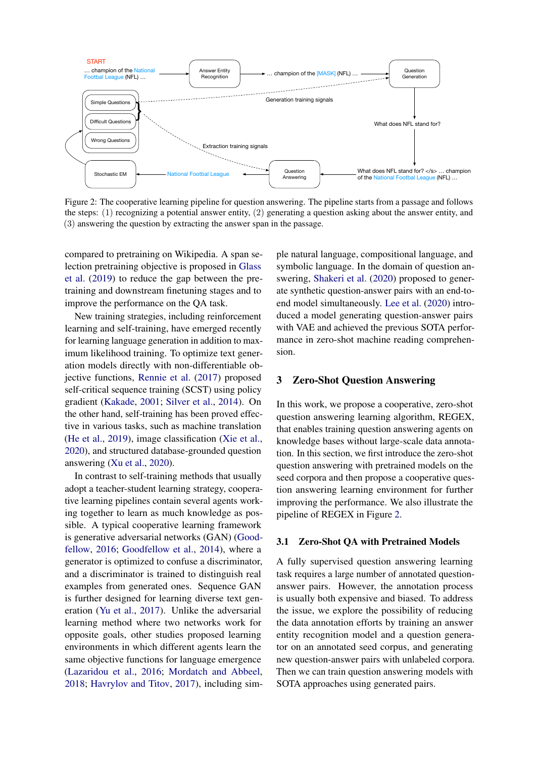<span id="page-2-0"></span>

Figure 2: The cooperative learning pipeline for question answering. The pipeline starts from a passage and follows the steps: (1) recognizing a potential answer entity, (2) generating a question asking about the answer entity, and (3) answering the question by extracting the answer span in the passage.

compared to pretraining on Wikipedia. A span selection pretraining objective is proposed in [Glass](#page-9-11) [et al.](#page-9-11) [\(2019\)](#page-9-11) to reduce the gap between the pretraining and downstream finetuning stages and to improve the performance on the QA task.

New training strategies, including reinforcement learning and self-training, have emerged recently for learning language generation in addition to maximum likelihood training. To optimize text generation models directly with non-differentiable objective functions, [Rennie et al.](#page-10-5) [\(2017\)](#page-10-5) proposed self-critical sequence training (SCST) using policy gradient [\(Kakade,](#page-9-12) [2001;](#page-9-12) [Silver et al.,](#page-10-6) [2014\)](#page-10-6). On the other hand, self-training has been proved effective in various tasks, such as machine translation [\(He et al.,](#page-9-13) [2019\)](#page-9-13), image classification [\(Xie et al.,](#page-10-7) [2020\)](#page-10-7), and structured database-grounded question answering [\(Xu et al.,](#page-10-8) [2020\)](#page-10-8).

In contrast to self-training methods that usually adopt a teacher-student learning strategy, cooperative learning pipelines contain several agents working together to learn as much knowledge as possible. A typical cooperative learning framework is generative adversarial networks (GAN) [\(Good](#page-9-14)[fellow,](#page-9-14) [2016;](#page-9-14) [Goodfellow et al.,](#page-9-15) [2014\)](#page-9-15), where a generator is optimized to confuse a discriminator, and a discriminator is trained to distinguish real examples from generated ones. Sequence GAN is further designed for learning diverse text generation [\(Yu et al.,](#page-10-9) [2017\)](#page-10-9). Unlike the adversarial learning method where two networks work for opposite goals, other studies proposed learning environments in which different agents learn the same objective functions for language emergence [\(Lazaridou et al.,](#page-9-16) [2016;](#page-9-16) [Mordatch and Abbeel,](#page-10-10) [2018;](#page-10-10) [Havrylov and Titov,](#page-9-17) [2017\)](#page-9-17), including sim-

ple natural language, compositional language, and symbolic language. In the domain of question answering, [Shakeri et al.](#page-10-11) [\(2020\)](#page-10-11) proposed to generate synthetic question-answer pairs with an end-toend model simultaneously. [Lee et al.](#page-9-18) [\(2020\)](#page-9-18) introduced a model generating question-answer pairs with VAE and achieved the previous SOTA performance in zero-shot machine reading comprehension.

#### 3 Zero-Shot Question Answering

In this work, we propose a cooperative, zero-shot question answering learning algorithm, REGEX, that enables training question answering agents on knowledge bases without large-scale data annotation. In this section, we first introduce the zero-shot question answering with pretrained models on the seed corpora and then propose a cooperative question answering learning environment for further improving the performance. We also illustrate the pipeline of REGEX in Figure [2.](#page-2-0)

#### 3.1 Zero-Shot QA with Pretrained Models

A fully supervised question answering learning task requires a large number of annotated questionanswer pairs. However, the annotation process is usually both expensive and biased. To address the issue, we explore the possibility of reducing the data annotation efforts by training an answer entity recognition model and a question generator on an annotated seed corpus, and generating new question-answer pairs with unlabeled corpora. Then we can train question answering models with SOTA approaches using generated pairs.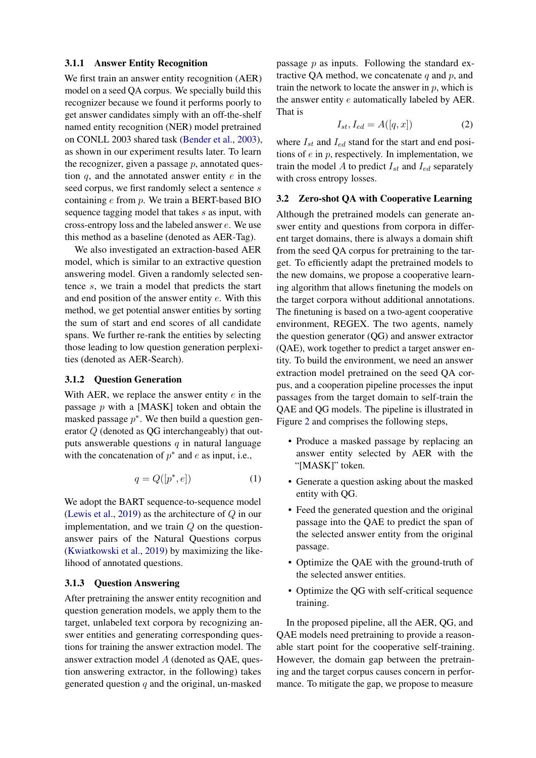#### 3.1.1 Answer Entity Recognition

We first train an answer entity recognition (AER) model on a seed QA corpus. We specially build this recognizer because we found it performs poorly to get answer candidates simply with an off-the-shelf named entity recognition (NER) model pretrained on CONLL 2003 shared task [\(Bender et al.,](#page-9-19) [2003\)](#page-9-19), as shown in our experiment results later. To learn the recognizer, given a passage  $p$ , annotated question  $q$ , and the annotated answer entity  $e$  in the seed corpus, we first randomly select a sentence s containing  $e$  from  $p$ . We train a BERT-based BIO sequence tagging model that takes s as input, with cross-entropy loss and the labeled answer e. We use this method as a baseline (denoted as AER-Tag).

We also investigated an extraction-based AER model, which is similar to an extractive question answering model. Given a randomly selected sentence s, we train a model that predicts the start and end position of the answer entity e. With this method, we get potential answer entities by sorting the sum of start and end scores of all candidate spans. We further re-rank the entities by selecting those leading to low question generation perplexities (denoted as AER-Search).

# 3.1.2 Question Generation

With AER, we replace the answer entity  $e$  in the passage  $p$  with a [MASK] token and obtain the masked passage  $p^*$ . We then build a question generator Q (denoted as QG interchangeably) that outputs answerable questions  $q$  in natural language with the concatenation of  $p^*$  and e as input, i.e.,

$$
q = Q([p^*, e]) \tag{1}
$$

We adopt the BART sequence-to-sequence model [\(Lewis et al.,](#page-9-20) [2019\)](#page-9-20) as the architecture of  $Q$  in our implementation, and we train  $Q$  on the questionanswer pairs of the Natural Questions corpus [\(Kwiatkowski et al.,](#page-9-21) [2019\)](#page-9-21) by maximizing the likelihood of annotated questions.

## 3.1.3 Question Answering

After pretraining the answer entity recognition and question generation models, we apply them to the target, unlabeled text corpora by recognizing answer entities and generating corresponding questions for training the answer extraction model. The answer extraction model A (denoted as QAE, question answering extractor, in the following) takes generated question  $q$  and the original, un-masked passage  $p$  as inputs. Following the standard extractive QA method, we concatenate  $q$  and  $p$ , and train the network to locate the answer in  $p$ , which is the answer entity e automatically labeled by AER. That is

$$
I_{st}, I_{ed} = A([q, x]) \tag{2}
$$

where  $I_{st}$  and  $I_{ed}$  stand for the start and end positions of  $e$  in  $p$ , respectively. In implementation, we train the model A to predict  $I_{st}$  and  $I_{ed}$  separately with cross entropy losses.

#### <span id="page-3-0"></span>3.2 Zero-shot QA with Cooperative Learning

Although the pretrained models can generate answer entity and questions from corpora in different target domains, there is always a domain shift from the seed QA corpus for pretraining to the target. To efficiently adapt the pretrained models to the new domains, we propose a cooperative learning algorithm that allows finetuning the models on the target corpora without additional annotations. The finetuning is based on a two-agent cooperative environment, REGEX. The two agents, namely the question generator (QG) and answer extractor (QAE), work together to predict a target answer entity. To build the environment, we need an answer extraction model pretrained on the seed QA corpus, and a cooperation pipeline processes the input passages from the target domain to self-train the QAE and QG models. The pipeline is illustrated in Figure [2](#page-2-0) and comprises the following steps,

- Produce a masked passage by replacing an answer entity selected by AER with the "[MASK]" token.
- Generate a question asking about the masked entity with QG.
- Feed the generated question and the original passage into the QAE to predict the span of the selected answer entity from the original passage.
- Optimize the QAE with the ground-truth of the selected answer entities.
- Optimize the QG with self-critical sequence training.

In the proposed pipeline, all the AER, QG, and QAE models need pretraining to provide a reasonable start point for the cooperative self-training. However, the domain gap between the pretraining and the target corpus causes concern in performance. To mitigate the gap, we propose to measure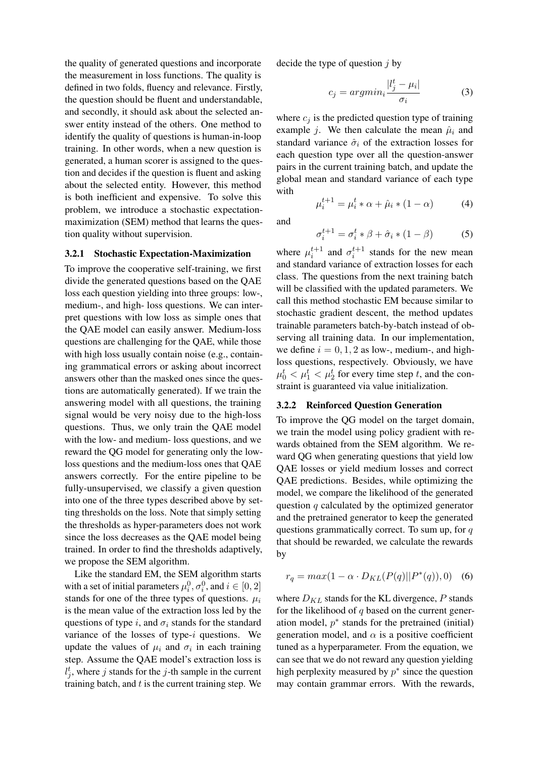the quality of generated questions and incorporate the measurement in loss functions. The quality is defined in two folds, fluency and relevance. Firstly, the question should be fluent and understandable, and secondly, it should ask about the selected answer entity instead of the others. One method to identify the quality of questions is human-in-loop training. In other words, when a new question is generated, a human scorer is assigned to the question and decides if the question is fluent and asking about the selected entity. However, this method is both inefficient and expensive. To solve this problem, we introduce a stochastic expectationmaximization (SEM) method that learns the question quality without supervision.

## 3.2.1 Stochastic Expectation-Maximization

To improve the cooperative self-training, we first divide the generated questions based on the QAE loss each question yielding into three groups: low-, medium-, and high- loss questions. We can interpret questions with low loss as simple ones that the QAE model can easily answer. Medium-loss questions are challenging for the QAE, while those with high loss usually contain noise (e.g., containing grammatical errors or asking about incorrect answers other than the masked ones since the questions are automatically generated). If we train the answering model with all questions, the training signal would be very noisy due to the high-loss questions. Thus, we only train the QAE model with the low- and medium- loss questions, and we reward the QG model for generating only the lowloss questions and the medium-loss ones that QAE answers correctly. For the entire pipeline to be fully-unsupervised, we classify a given question into one of the three types described above by setting thresholds on the loss. Note that simply setting the thresholds as hyper-parameters does not work since the loss decreases as the QAE model being trained. In order to find the thresholds adaptively, we propose the SEM algorithm.

Like the standard EM, the SEM algorithm starts with a set of initial parameters  $\mu_i^0, \sigma_i^0$ , and  $i \in [0, 2]$ stands for one of the three types of questions.  $\mu_i$ is the mean value of the extraction loss led by the questions of type i, and  $\sigma_i$  stands for the standard variance of the losses of type- $i$  questions. We update the values of  $\mu_i$  and  $\sigma_i$  in each training step. Assume the QAE model's extraction loss is  $l_j^t$ , where j stands for the j-th sample in the current training batch, and  $t$  is the current training step. We decide the type of question  $i$  by

$$
c_j = argmin_i \frac{|l_j^t - \mu_i|}{\sigma_i} \tag{3}
$$

where  $c_j$  is the predicted question type of training example *j*. We then calculate the mean  $\hat{\mu}_i$  and standard variance  $\hat{\sigma}_i$  of the extraction losses for each question type over all the question-answer pairs in the current training batch, and update the global mean and standard variance of each type with

$$
\mu_i^{t+1} = \mu_i^t * \alpha + \hat{\mu}_i * (1 - \alpha) \tag{4}
$$

and

$$
\sigma_i^{t+1} = \sigma_i^t * \beta + \hat{\sigma}_i * (1 - \beta)
$$
 (5)

where  $\mu_i^{t+1}$  and  $\sigma_i^{t+1}$  stands for the new mean and standard variance of extraction losses for each class. The questions from the next training batch will be classified with the updated parameters. We call this method stochastic EM because similar to stochastic gradient descent, the method updates trainable parameters batch-by-batch instead of observing all training data. In our implementation, we define  $i = 0, 1, 2$  as low-, medium-, and highloss questions, respectively. Obviously, we have  $\mu_0^t < \mu_1^t < \mu_2^t$  for every time step t, and the constraint is guaranteed via value initialization.

#### 3.2.2 Reinforced Question Generation

To improve the QG model on the target domain, we train the model using policy gradient with rewards obtained from the SEM algorithm. We reward QG when generating questions that yield low QAE losses or yield medium losses and correct QAE predictions. Besides, while optimizing the model, we compare the likelihood of the generated question  $q$  calculated by the optimized generator and the pretrained generator to keep the generated questions grammatically correct. To sum up, for  $q$ that should be rewarded, we calculate the rewards by

$$
r_q = max(1 - \alpha \cdot D_{KL}(P(q)||P^*(q)), 0)
$$
 (6)

where  $D_{KL}$  stands for the KL divergence, P stands for the likelihood of  $q$  based on the current generation model,  $p^*$  stands for the pretrained (initial) generation model, and  $\alpha$  is a positive coefficient tuned as a hyperparameter. From the equation, we can see that we do not reward any question yielding high perplexity measured by  $p^*$  since the question may contain grammar errors. With the rewards,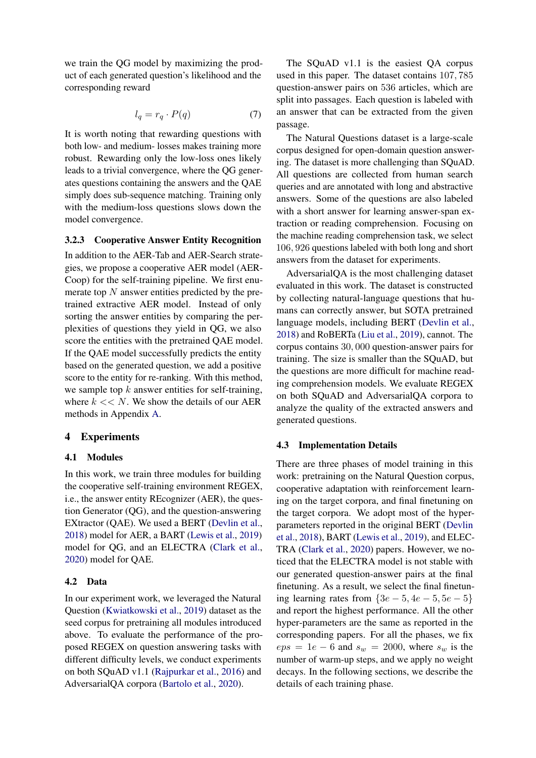we train the QG model by maximizing the product of each generated question's likelihood and the corresponding reward

$$
l_q = r_q \cdot P(q) \tag{7}
$$

It is worth noting that rewarding questions with both low- and medium- losses makes training more robust. Rewarding only the low-loss ones likely leads to a trivial convergence, where the QG generates questions containing the answers and the QAE simply does sub-sequence matching. Training only with the medium-loss questions slows down the model convergence.

#### 3.2.3 Cooperative Answer Entity Recognition

In addition to the AER-Tab and AER-Search strategies, we propose a cooperative AER model (AER-Coop) for the self-training pipeline. We first enumerate top  $N$  answer entities predicted by the pretrained extractive AER model. Instead of only sorting the answer entities by comparing the perplexities of questions they yield in QG, we also score the entities with the pretrained QAE model. If the QAE model successfully predicts the entity based on the generated question, we add a positive score to the entity for re-ranking. With this method, we sample top  $k$  answer entities for self-training, where  $k \ll N$ . We show the details of our AER methods in Appendix [A.](#page-10-12)

### 4 Experiments

#### 4.1 Modules

In this work, we train three modules for building the cooperative self-training environment REGEX, i.e., the answer entity REcognizer (AER), the question Generator (QG), and the question-answering EXtractor (QAE). We used a BERT [\(Devlin et al.,](#page-9-0) [2018\)](#page-9-0) model for AER, a BART [\(Lewis et al.,](#page-9-20) [2019\)](#page-9-20) model for QG, and an ELECTRA [\(Clark et al.,](#page-9-2) [2020\)](#page-9-2) model for QAE.

#### 4.2 Data

In our experiment work, we leveraged the Natural Question [\(Kwiatkowski et al.,](#page-9-21) [2019\)](#page-9-21) dataset as the seed corpus for pretraining all modules introduced above. To evaluate the performance of the proposed REGEX on question answering tasks with different difficulty levels, we conduct experiments on both SQuAD v1.1 [\(Rajpurkar et al.,](#page-10-13) [2016\)](#page-10-13) and AdversarialQA corpora [\(Bartolo et al.,](#page-9-22) [2020\)](#page-9-22).

The SQuAD v1.1 is the easiest QA corpus used in this paper. The dataset contains 107, 785 question-answer pairs on 536 articles, which are split into passages. Each question is labeled with an answer that can be extracted from the given passage.

The Natural Questions dataset is a large-scale corpus designed for open-domain question answering. The dataset is more challenging than SQuAD. All questions are collected from human search queries and are annotated with long and abstractive answers. Some of the questions are also labeled with a short answer for learning answer-span extraction or reading comprehension. Focusing on the machine reading comprehension task, we select 106, 926 questions labeled with both long and short answers from the dataset for experiments.

AdversarialQA is the most challenging dataset evaluated in this work. The dataset is constructed by collecting natural-language questions that humans can correctly answer, but SOTA pretrained language models, including BERT [\(Devlin et al.,](#page-9-0) [2018\)](#page-9-0) and RoBERTa [\(Liu et al.,](#page-9-1) [2019\)](#page-9-1), cannot. The corpus contains 30, 000 question-answer pairs for training. The size is smaller than the SQuAD, but the questions are more difficult for machine reading comprehension models. We evaluate REGEX on both SQuAD and AdversarialQA corpora to analyze the quality of the extracted answers and generated questions.

#### 4.3 Implementation Details

There are three phases of model training in this work: pretraining on the Natural Question corpus, cooperative adaptation with reinforcement learning on the target corpora, and final finetuning on the target corpora. We adopt most of the hyperparameters reported in the original BERT [\(Devlin](#page-9-0) [et al.,](#page-9-0) [2018\)](#page-9-0), BART [\(Lewis et al.,](#page-9-20) [2019\)](#page-9-20), and ELEC-TRA [\(Clark et al.,](#page-9-2) [2020\)](#page-9-2) papers. However, we noticed that the ELECTRA model is not stable with our generated question-answer pairs at the final finetuning. As a result, we select the final finetuning learning rates from  $\{3e-5, 4e-5, 5e-5\}$ and report the highest performance. All the other hyper-parameters are the same as reported in the corresponding papers. For all the phases, we fix  $eps = 1e - 6$  and  $s_w = 2000$ , where  $s_w$  is the number of warm-up steps, and we apply no weight decays. In the following sections, we describe the details of each training phase.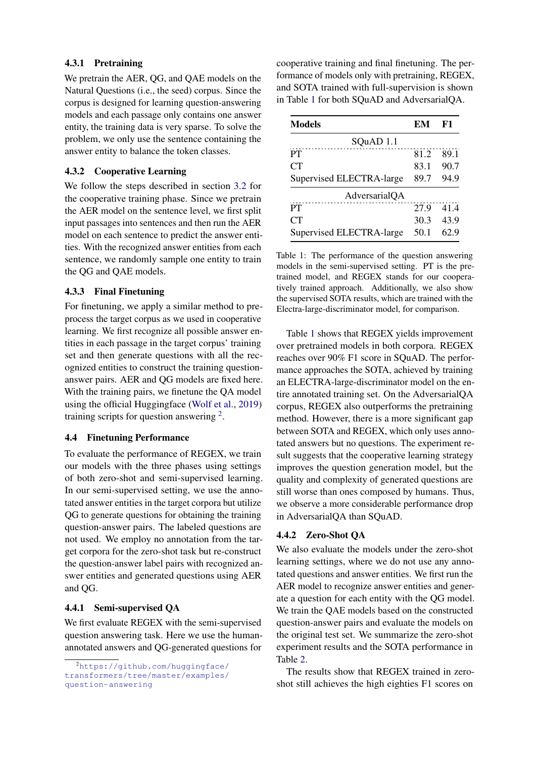## 4.3.1 Pretraining

We pretrain the AER, QG, and QAE models on the Natural Questions (i.e., the seed) corpus. Since the corpus is designed for learning question-answering models and each passage only contains one answer entity, the training data is very sparse. To solve the problem, we only use the sentence containing the answer entity to balance the token classes.

## 4.3.2 Cooperative Learning

We follow the steps described in section [3.2](#page-3-0) for the cooperative training phase. Since we pretrain the AER model on the sentence level, we first split input passages into sentences and then run the AER model on each sentence to predict the answer entities. With the recognized answer entities from each sentence, we randomly sample one entity to train the QG and QAE models.

## 4.3.3 Final Finetuning

For finetuning, we apply a similar method to preprocess the target corpus as we used in cooperative learning. We first recognize all possible answer entities in each passage in the target corpus' training set and then generate questions with all the recognized entities to construct the training questionanswer pairs. AER and QG models are fixed here. With the training pairs, we finetune the QA model using the official Huggingface [\(Wolf et al.,](#page-10-14) [2019\)](#page-10-14) training scripts for question answering  $2$ .

# 4.4 Finetuning Performance

To evaluate the performance of REGEX, we train our models with the three phases using settings of both zero-shot and semi-supervised learning. In our semi-supervised setting, we use the annotated answer entities in the target corpora but utilize QG to generate questions for obtaining the training question-answer pairs. The labeled questions are not used. We employ no annotation from the target corpora for the zero-shot task but re-construct the question-answer label pairs with recognized answer entities and generated questions using AER and QG.

### 4.4.1 Semi-supervised QA

We first evaluate REGEX with the semi-supervised question answering task. Here we use the humanannotated answers and QG-generated questions for

cooperative training and final finetuning. The performance of models only with pretraining, REGEX, and SOTA trained with full-supervision is shown in Table [1](#page-6-1) for both SQuAD and AdversarialQA.

<span id="page-6-1"></span>

| <b>Models</b>            | EM   | F1   |
|--------------------------|------|------|
| SQuAD 1.1                |      |      |
| PT                       | 81.2 | 89.1 |
| CT                       | 83.1 | 90.7 |
| Supervised ELECTRA-large | 89.7 | 94.9 |
| AdversarialQA            |      |      |
| PT                       | 27.9 | 41.4 |
| CT <sup>-</sup>          | 30.3 | 43.9 |
| Supervised ELECTRA-large | 50.1 | 62.9 |

Table 1: The performance of the question answering models in the semi-supervised setting. PT is the pretrained model, and REGEX stands for our cooperatively trained approach. Additionally, we also show the supervised SOTA results, which are trained with the Electra-large-discriminator model, for comparison.

Table [1](#page-6-1) shows that REGEX yields improvement over pretrained models in both corpora. REGEX reaches over 90% F1 score in SQuAD. The performance approaches the SOTA, achieved by training an ELECTRA-large-discriminator model on the entire annotated training set. On the AdversarialQA corpus, REGEX also outperforms the pretraining method. However, there is a more significant gap between SOTA and REGEX, which only uses annotated answers but no questions. The experiment result suggests that the cooperative learning strategy improves the question generation model, but the quality and complexity of generated questions are still worse than ones composed by humans. Thus, we observe a more considerable performance drop in AdversarialQA than SQuAD.

# 4.4.2 Zero-Shot QA

We also evaluate the models under the zero-shot learning settings, where we do not use any annotated questions and answer entities. We first run the AER model to recognize answer entities and generate a question for each entity with the QG model. We train the QAE models based on the constructed question-answer pairs and evaluate the models on the original test set. We summarize the zero-shot experiment results and the SOTA performance in Table [2.](#page-7-0)

The results show that REGEX trained in zeroshot still achieves the high eighties F1 scores on

<span id="page-6-0"></span><sup>2</sup>[https://github.com/huggingface/](https://github.com/huggingface/transformers/tree/master/examples/question-answering) [transformers/tree/master/examples/](https://github.com/huggingface/transformers/tree/master/examples/question-answering) [question-answering](https://github.com/huggingface/transformers/tree/master/examples/question-answering)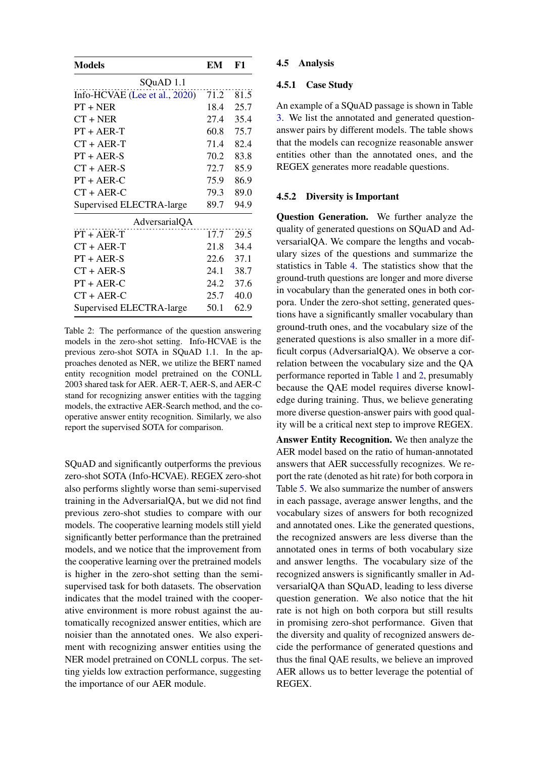<span id="page-7-0"></span>

| <b>Models</b>                 | EM   | F1   |  |
|-------------------------------|------|------|--|
| SQuAD 1.1                     |      |      |  |
| Info-HCVAE (Lee et al., 2020) | 71.2 | 81.5 |  |
| $PT + NER$                    | 18.4 | 25.7 |  |
| $CT + NER$                    | 27.4 | 35.4 |  |
| $PT + AER-T$                  | 60.8 | 75.7 |  |
| $CT + AER-T$                  | 71.4 | 82.4 |  |
| $PT + AER-S$                  | 70.2 | 83.8 |  |
| $CT + AER-S$                  | 72.7 | 85.9 |  |
| $PT + AER-C$                  | 75.9 | 86.9 |  |
| $CT + AER-C$                  | 79.3 | 89.0 |  |
| Supervised ELECTRA-large      | 89.7 | 94.9 |  |
| AdversarialQA                 |      |      |  |
| $PT + AER-T$                  | 17.7 | 29.5 |  |
| $CT + AER-T$                  | 21.8 | 34.4 |  |
| $PT + AER-S$                  | 22.6 | 37.1 |  |
| $CT + AER-S$                  | 24.1 | 38.7 |  |
| $PT + AER-C$                  | 24.2 | 37.6 |  |
| $CT + AER-C$                  | 25.7 | 40.0 |  |
| Supervised ELECTRA-large      | 50.1 | 62.9 |  |

Table 2: The performance of the question answering models in the zero-shot setting. Info-HCVAE is the previous zero-shot SOTA in SQuAD 1.1. In the approaches denoted as NER, we utilize the BERT named entity recognition model pretrained on the CONLL 2003 shared task for AER. AER-T, AER-S, and AER-C stand for recognizing answer entities with the tagging models, the extractive AER-Search method, and the cooperative answer entity recognition. Similarly, we also report the supervised SOTA for comparison.

SQuAD and significantly outperforms the previous zero-shot SOTA (Info-HCVAE). REGEX zero-shot also performs slightly worse than semi-supervised training in the AdversarialQA, but we did not find previous zero-shot studies to compare with our models. The cooperative learning models still yield significantly better performance than the pretrained models, and we notice that the improvement from the cooperative learning over the pretrained models is higher in the zero-shot setting than the semisupervised task for both datasets. The observation indicates that the model trained with the cooperative environment is more robust against the automatically recognized answer entities, which are noisier than the annotated ones. We also experiment with recognizing answer entities using the NER model pretrained on CONLL corpus. The setting yields low extraction performance, suggesting the importance of our AER module.

#### 4.5 Analysis

## 4.5.1 Case Study

An example of a SQuAD passage is shown in Table [3.](#page-8-0) We list the annotated and generated questionanswer pairs by different models. The table shows that the models can recognize reasonable answer entities other than the annotated ones, and the REGEX generates more readable questions.

# 4.5.2 Diversity is Important

Question Generation. We further analyze the quality of generated questions on SQuAD and AdversarialQA. We compare the lengths and vocabulary sizes of the questions and summarize the statistics in Table [4.](#page-8-1) The statistics show that the ground-truth questions are longer and more diverse in vocabulary than the generated ones in both corpora. Under the zero-shot setting, generated questions have a significantly smaller vocabulary than ground-truth ones, and the vocabulary size of the generated questions is also smaller in a more difficult corpus (AdversarialQA). We observe a correlation between the vocabulary size and the QA performance reported in Table [1](#page-6-1) and [2,](#page-7-0) presumably because the QAE model requires diverse knowledge during training. Thus, we believe generating more diverse question-answer pairs with good quality will be a critical next step to improve REGEX.

Answer Entity Recognition. We then analyze the AER model based on the ratio of human-annotated answers that AER successfully recognizes. We report the rate (denoted as hit rate) for both corpora in Table [5.](#page-8-2) We also summarize the number of answers in each passage, average answer lengths, and the vocabulary sizes of answers for both recognized and annotated ones. Like the generated questions, the recognized answers are less diverse than the annotated ones in terms of both vocabulary size and answer lengths. The vocabulary size of the recognized answers is significantly smaller in AdversarialQA than SQuAD, leading to less diverse question generation. We also notice that the hit rate is not high on both corpora but still results in promising zero-shot performance. Given that the diversity and quality of recognized answers decide the performance of generated questions and thus the final QAE results, we believe an improved AER allows us to better leverage the potential of REGEX.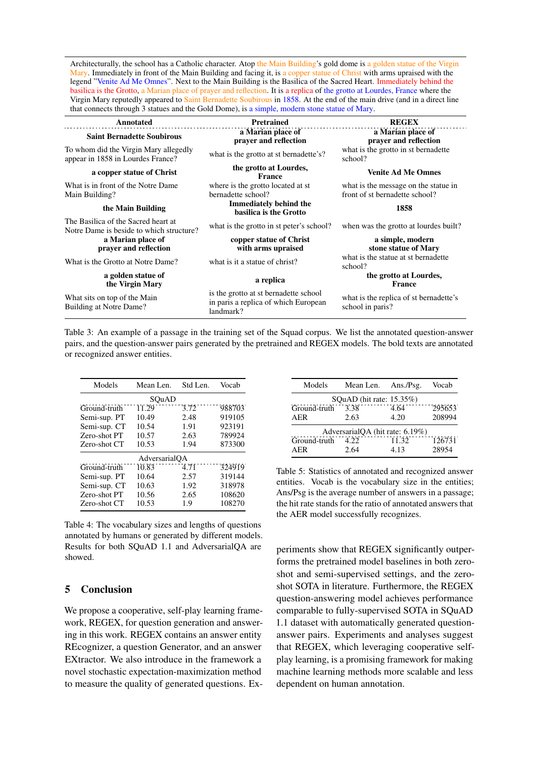<span id="page-8-0"></span>Architecturally, the school has a Catholic character. Atop the Main Building's gold dome is a golden statue of the Virgin Mary. Immediately in front of the Main Building and facing it, is a copper statue of Christ with arms upraised with the legend "Venite Ad Me Omnes". Next to the Main Building is the Basilica of the Sacred Heart. Immediately behind the basilica is the Grotto, a Marian place of prayer and reflection. It is a replica of the grotto at Lourdes, France where the Virgin Mary reputedly appeared to Saint Bernadette Soubirous in 1858. At the end of the main drive (and in a direct line that connects through 3 statues and the Gold Dome), is a simple, modern stone statue of Mary.

| Annotated                                                                       | <b>Pretrained</b>                                                                          | <b>REGEX</b>                                                           |  |
|---------------------------------------------------------------------------------|--------------------------------------------------------------------------------------------|------------------------------------------------------------------------|--|
| <b>Saint Bernadette Soubirous</b>                                               | a Marian place of<br>prayer and reflection                                                 | a Marian place of<br>prayer and reflection                             |  |
| To whom did the Virgin Mary allegedly<br>appear in 1858 in Lourdes France?      | what is the grotto at st bernadette's?                                                     | what is the grotto in st bernadette<br>school?                         |  |
| a copper statue of Christ                                                       | the grotto at Lourdes,<br><b>France</b>                                                    | <b>Venite Ad Me Omnes</b>                                              |  |
| What is in front of the Notre Dame<br>Main Building?                            | where is the grotto located at st<br>bernadette school?                                    | what is the message on the statue in<br>front of st bernadette school? |  |
| the Main Building                                                               | <b>Immediately behind the</b><br>basilica is the Grotto                                    | 1858                                                                   |  |
| The Basilica of the Sacred heart at<br>Notre Dame is beside to which structure? | what is the grotto in st peter's school?                                                   | when was the grotto at lourdes built?                                  |  |
| a Marian place of<br>prayer and reflection                                      | copper statue of Christ<br>with arms upraised                                              | a simple, modern<br>stone statue of Mary                               |  |
| What is the Grotto at Notre Dame?                                               | what is it a statue of christ?                                                             | what is the statue at st bernadette<br>school?                         |  |
| a golden statue of<br>the Virgin Mary                                           | a replica                                                                                  | the grotto at Lourdes,<br>France                                       |  |
| What sits on top of the Main<br>Building at Notre Dame?                         | is the grotto at st bernadette school<br>in paris a replica of which European<br>landmark? | what is the replica of st bernadette's<br>school in paris?             |  |

Table 3: An example of a passage in the training set of the Squad corpus. We list the annotated question-answer pairs, and the question-answer pairs generated by the pretrained and REGEX models. The bold texts are annotated or recognized answer entities.

<span id="page-8-1"></span>

| Models        | Mean Len. | Std Len. | Vocab  |  |
|---------------|-----------|----------|--------|--|
| SOuAD         |           |          |        |  |
| Ground-truth  | 11.29     | 3.72     | 988703 |  |
| Semi-sup. PT  | 10.49     | 2.48     | 919105 |  |
| Semi-sup. CT  | 10.54     | 1.91     | 923191 |  |
| Zero-shot PT  | 10.57     | 2.63     | 789924 |  |
| Zero-shot CT  | 10.53     | 1.94     | 873300 |  |
| AdversarialOA |           |          |        |  |
| Ground-truth  | 10.83     | 4.71     | 324919 |  |
| Semi-sup. PT  | 10.64     | 2.57     | 319144 |  |
| Semi-sup. CT  | 10.63     | 1.92     | 318978 |  |
| Zero-shot PT  | 10.56     | 2.65     | 108620 |  |
| Zero-shot CT  | 10.53     | 1.9      | 108270 |  |

Table 4: The vocabulary sizes and lengths of questions annotated by humans or generated by different models. Results for both SQuAD 1.1 and AdversarialQA are showed.

# 5 Conclusion

We propose a cooperative, self-play learning framework, REGEX, for question generation and answering in this work. REGEX contains an answer entity REcognizer, a question Generator, and an answer EXtractor. We also introduce in the framework a novel stochastic expectation-maximization method to measure the quality of generated questions. Ex-

<span id="page-8-2"></span>

| Models                          | Mean Len. Ans./Psg.         |       | Vocab  |
|---------------------------------|-----------------------------|-------|--------|
|                                 | SQuAD (hit rate: $15.35\%)$ |       |        |
| Ground-truth                    | 3.38                        | 4.64  | 295653 |
| AER                             | 2.63                        | 4.20  | 208994 |
| AdversarialQA (hit rate: 6.19%) |                             |       |        |
| Ground-truth                    | 4.22                        | 11.32 | 126731 |
| AER                             | 2.64                        | 4.13  | 28954  |

Table 5: Statistics of annotated and recognized answer entities. Vocab is the vocabulary size in the entities; Ans/Psg is the average number of answers in a passage; the hit rate stands for the ratio of annotated answers that the AER model successfully recognizes.

periments show that REGEX significantly outperforms the pretrained model baselines in both zeroshot and semi-supervised settings, and the zeroshot SOTA in literature. Furthermore, the REGEX question-answering model achieves performance comparable to fully-supervised SOTA in SQuAD 1.1 dataset with automatically generated questionanswer pairs. Experiments and analyses suggest that REGEX, which leveraging cooperative selfplay learning, is a promising framework for making machine learning methods more scalable and less dependent on human annotation.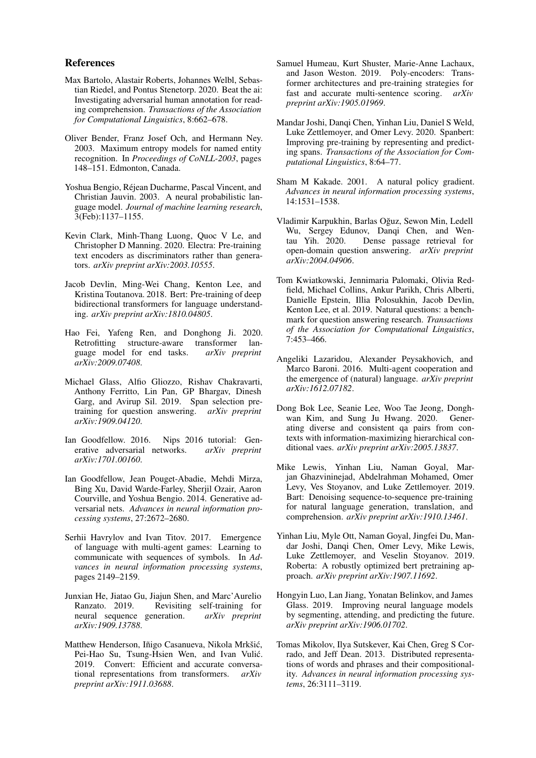#### References

- <span id="page-9-22"></span>Max Bartolo, Alastair Roberts, Johannes Welbl, Sebastian Riedel, and Pontus Stenetorp. 2020. Beat the ai: Investigating adversarial human annotation for reading comprehension. *Transactions of the Association for Computational Linguistics*, 8:662–678.
- <span id="page-9-19"></span>Oliver Bender, Franz Josef Och, and Hermann Ney. 2003. Maximum entropy models for named entity recognition. In *Proceedings of CoNLL-2003*, pages 148–151. Edmonton, Canada.
- <span id="page-9-4"></span>Yoshua Bengio, Rejean Ducharme, Pascal Vincent, and ´ Christian Jauvin. 2003. A neural probabilistic language model. *Journal of machine learning research*, 3(Feb):1137–1155.
- <span id="page-9-2"></span>Kevin Clark, Minh-Thang Luong, Quoc V Le, and Christopher D Manning. 2020. Electra: Pre-training text encoders as discriminators rather than generators. *arXiv preprint arXiv:2003.10555*.
- <span id="page-9-0"></span>Jacob Devlin, Ming-Wei Chang, Kenton Lee, and Kristina Toutanova. 2018. Bert: Pre-training of deep bidirectional transformers for language understanding. *arXiv preprint arXiv:1810.04805*.
- <span id="page-9-7"></span>Hao Fei, Yafeng Ren, and Donghong Ji. 2020. Retrofitting structure-aware transformer language model for end tasks. *arXiv preprint arXiv:2009.07408*.
- <span id="page-9-11"></span>Michael Glass, Alfio Gliozzo, Rishav Chakravarti, Anthony Ferritto, Lin Pan, GP Bhargav, Dinesh Garg, and Avirup Sil. 2019. Span selection pretraining for question answering. *arXiv preprint arXiv:1909.04120*.
- <span id="page-9-14"></span>Ian Goodfellow. 2016. Nips 2016 tutorial: Generative adversarial networks. *arXiv preprint arXiv:1701.00160*.
- <span id="page-9-15"></span>Ian Goodfellow, Jean Pouget-Abadie, Mehdi Mirza, Bing Xu, David Warde-Farley, Sherjil Ozair, Aaron Courville, and Yoshua Bengio. 2014. Generative adversarial nets. *Advances in neural information processing systems*, 27:2672–2680.
- <span id="page-9-17"></span>Serhii Havrylov and Ivan Titov. 2017. Emergence of language with multi-agent games: Learning to communicate with sequences of symbols. In *Advances in neural information processing systems*, pages 2149–2159.
- <span id="page-9-13"></span>Junxian He, Jiatao Gu, Jiajun Shen, and Marc'Aurelio Ranzato. 2019. Revisiting self-training for neural sequence generation. *arXiv preprint arXiv:1909.13788*.
- <span id="page-9-9"></span>Matthew Henderson, Iñigo Casanueva, Nikola Mrkšić, Pei-Hao Su, Tsung-Hsien Wen, and Ivan Vulić. 2019. Convert: Efficient and accurate conversational representations from transformers. *arXiv preprint arXiv:1911.03688*.
- <span id="page-9-10"></span>Samuel Humeau, Kurt Shuster, Marie-Anne Lachaux, and Jason Weston. 2019. Poly-encoders: Transformer architectures and pre-training strategies for fast and accurate multi-sentence scoring. *arXiv preprint arXiv:1905.01969*.
- <span id="page-9-6"></span>Mandar Joshi, Danqi Chen, Yinhan Liu, Daniel S Weld, Luke Zettlemoyer, and Omer Levy. 2020. Spanbert: Improving pre-training by representing and predicting spans. *Transactions of the Association for Computational Linguistics*, 8:64–77.
- <span id="page-9-12"></span>Sham M Kakade. 2001. A natural policy gradient. *Advances in neural information processing systems*, 14:1531–1538.
- <span id="page-9-3"></span>Vladimir Karpukhin, Barlas Oguz, Sewon Min, Ledell ˘ Wu, Sergey Edunov, Danqi Chen, and Wentau Yih. 2020. Dense passage retrieval for open-domain question answering. *arXiv preprint arXiv:2004.04906*.
- <span id="page-9-21"></span>Tom Kwiatkowski, Jennimaria Palomaki, Olivia Redfield, Michael Collins, Ankur Parikh, Chris Alberti, Danielle Epstein, Illia Polosukhin, Jacob Devlin, Kenton Lee, et al. 2019. Natural questions: a benchmark for question answering research. *Transactions of the Association for Computational Linguistics*, 7:453–466.
- <span id="page-9-16"></span>Angeliki Lazaridou, Alexander Peysakhovich, and Marco Baroni. 2016. Multi-agent cooperation and the emergence of (natural) language. *arXiv preprint arXiv:1612.07182*.
- <span id="page-9-18"></span>Dong Bok Lee, Seanie Lee, Woo Tae Jeong, Donghwan Kim, and Sung Ju Hwang. 2020. Generating diverse and consistent qa pairs from contexts with information-maximizing hierarchical conditional vaes. *arXiv preprint arXiv:2005.13837*.
- <span id="page-9-20"></span>Mike Lewis, Yinhan Liu, Naman Goyal, Marjan Ghazvininejad, Abdelrahman Mohamed, Omer Levy, Ves Stoyanov, and Luke Zettlemoyer. 2019. Bart: Denoising sequence-to-sequence pre-training for natural language generation, translation, and comprehension. *arXiv preprint arXiv:1910.13461*.
- <span id="page-9-1"></span>Yinhan Liu, Myle Ott, Naman Goyal, Jingfei Du, Mandar Joshi, Danqi Chen, Omer Levy, Mike Lewis, Luke Zettlemoyer, and Veselin Stoyanov. 2019. Roberta: A robustly optimized bert pretraining approach. *arXiv preprint arXiv:1907.11692*.
- <span id="page-9-8"></span>Hongyin Luo, Lan Jiang, Yonatan Belinkov, and James Glass. 2019. Improving neural language models by segmenting, attending, and predicting the future. *arXiv preprint arXiv:1906.01702*.
- <span id="page-9-5"></span>Tomas Mikolov, Ilya Sutskever, Kai Chen, Greg S Corrado, and Jeff Dean. 2013. Distributed representations of words and phrases and their compositionality. *Advances in neural information processing systems*, 26:3111–3119.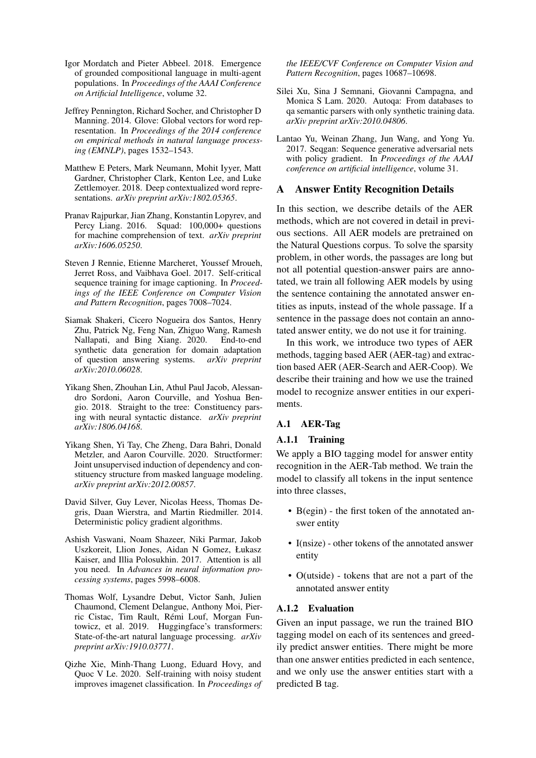- <span id="page-10-10"></span>Igor Mordatch and Pieter Abbeel. 2018. Emergence of grounded compositional language in multi-agent populations. In *Proceedings of the AAAI Conference on Artificial Intelligence*, volume 32.
- <span id="page-10-2"></span>Jeffrey Pennington, Richard Socher, and Christopher D Manning. 2014. Glove: Global vectors for word representation. In *Proceedings of the 2014 conference on empirical methods in natural language processing (EMNLP)*, pages 1532–1543.
- <span id="page-10-0"></span>Matthew E Peters, Mark Neumann, Mohit Iyyer, Matt Gardner, Christopher Clark, Kenton Lee, and Luke Zettlemoyer. 2018. Deep contextualized word representations. *arXiv preprint arXiv:1802.05365*.
- <span id="page-10-13"></span>Pranav Rajpurkar, Jian Zhang, Konstantin Lopyrev, and Percy Liang. 2016. Squad: 100,000+ questions for machine comprehension of text. *arXiv preprint arXiv:1606.05250*.
- <span id="page-10-5"></span>Steven J Rennie, Etienne Marcheret, Youssef Mroueh, Jerret Ross, and Vaibhava Goel. 2017. Self-critical sequence training for image captioning. In *Proceedings of the IEEE Conference on Computer Vision and Pattern Recognition*, pages 7008–7024.
- <span id="page-10-11"></span>Siamak Shakeri, Cicero Nogueira dos Santos, Henry Zhu, Patrick Ng, Feng Nan, Zhiguo Wang, Ramesh Nallapati, and Bing Xiang. 2020. End-to-end synthetic data generation for domain adaptation of question answering systems. *arXiv preprint arXiv:2010.06028*.
- <span id="page-10-4"></span>Yikang Shen, Zhouhan Lin, Athul Paul Jacob, Alessandro Sordoni, Aaron Courville, and Yoshua Bengio. 2018. Straight to the tree: Constituency parsing with neural syntactic distance. *arXiv preprint arXiv:1806.04168*.
- <span id="page-10-3"></span>Yikang Shen, Yi Tay, Che Zheng, Dara Bahri, Donald Metzler, and Aaron Courville. 2020. Structformer: Joint unsupervised induction of dependency and constituency structure from masked language modeling. *arXiv preprint arXiv:2012.00857*.
- <span id="page-10-6"></span>David Silver, Guy Lever, Nicolas Heess, Thomas Degris, Daan Wierstra, and Martin Riedmiller. 2014. Deterministic policy gradient algorithms.
- <span id="page-10-1"></span>Ashish Vaswani, Noam Shazeer, Niki Parmar, Jakob Uszkoreit, Llion Jones, Aidan N Gomez, Łukasz Kaiser, and Illia Polosukhin. 2017. Attention is all you need. In *Advances in neural information processing systems*, pages 5998–6008.
- <span id="page-10-14"></span>Thomas Wolf, Lysandre Debut, Victor Sanh, Julien Chaumond, Clement Delangue, Anthony Moi, Pierric Cistac, Tim Rault, Remi Louf, Morgan Fun- ´ towicz, et al. 2019. Huggingface's transformers: State-of-the-art natural language processing. *arXiv preprint arXiv:1910.03771*.
- <span id="page-10-7"></span>Qizhe Xie, Minh-Thang Luong, Eduard Hovy, and Quoc V Le. 2020. Self-training with noisy student improves imagenet classification. In *Proceedings of*

*the IEEE/CVF Conference on Computer Vision and Pattern Recognition*, pages 10687–10698.

- <span id="page-10-8"></span>Silei Xu, Sina J Semnani, Giovanni Campagna, and Monica S Lam. 2020. Autoqa: From databases to qa semantic parsers with only synthetic training data. *arXiv preprint arXiv:2010.04806*.
- <span id="page-10-9"></span>Lantao Yu, Weinan Zhang, Jun Wang, and Yong Yu. 2017. Seqgan: Sequence generative adversarial nets with policy gradient. In *Proceedings of the AAAI conference on artificial intelligence*, volume 31.

### <span id="page-10-12"></span>A Answer Entity Recognition Details

In this section, we describe details of the AER methods, which are not covered in detail in previous sections. All AER models are pretrained on the Natural Questions corpus. To solve the sparsity problem, in other words, the passages are long but not all potential question-answer pairs are annotated, we train all following AER models by using the sentence containing the annotated answer entities as inputs, instead of the whole passage. If a sentence in the passage does not contain an annotated answer entity, we do not use it for training.

In this work, we introduce two types of AER methods, tagging based AER (AER-tag) and extraction based AER (AER-Search and AER-Coop). We describe their training and how we use the trained model to recognize answer entities in our experiments.

### A.1 AER-Tag

# A.1.1 Training

We apply a BIO tagging model for answer entity recognition in the AER-Tab method. We train the model to classify all tokens in the input sentence into three classes,

- B(egin) the first token of the annotated answer entity
- I(nsize) other tokens of the annotated answer entity
- O(utside) tokens that are not a part of the annotated answer entity

#### A.1.2 Evaluation

Given an input passage, we run the trained BIO tagging model on each of its sentences and greedily predict answer entities. There might be more than one answer entities predicted in each sentence, and we only use the answer entities start with a predicted B tag.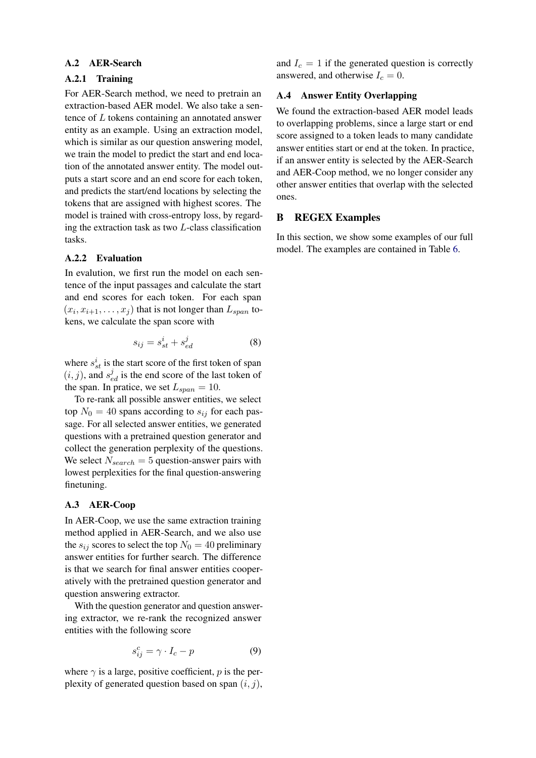#### A.2 AER-Search

# A.2.1 Training

For AER-Search method, we need to pretrain an extraction-based AER model. We also take a sentence of L tokens containing an annotated answer entity as an example. Using an extraction model, which is similar as our question answering model, we train the model to predict the start and end location of the annotated answer entity. The model outputs a start score and an end score for each token, and predicts the start/end locations by selecting the tokens that are assigned with highest scores. The model is trained with cross-entropy loss, by regarding the extraction task as two L-class classification tasks.

#### A.2.2 Evaluation

In evalution, we first run the model on each sentence of the input passages and calculate the start and end scores for each token. For each span  $(x_i, x_{i+1}, \ldots, x_j)$  that is not longer than  $L_{span}$  tokens, we calculate the span score with

$$
s_{ij} = s_{st}^i + s_{ed}^j \tag{8}
$$

where  $s_{st}^i$  is the start score of the first token of span  $(i, j)$ , and  $s_{ed}^j$  is the end score of the last token of the span. In pratice, we set  $L_{span} = 10$ .

To re-rank all possible answer entities, we select top  $N_0 = 40$  spans according to  $s_{ij}$  for each passage. For all selected answer entities, we generated questions with a pretrained question generator and collect the generation perplexity of the questions. We select  $N_{search} = 5$  question-answer pairs with lowest perplexities for the final question-answering finetuning.

### A.3 AER-Coop

In AER-Coop, we use the same extraction training method applied in AER-Search, and we also use the  $s_{ij}$  scores to select the top  $N_0 = 40$  preliminary answer entities for further search. The difference is that we search for final answer entities cooperatively with the pretrained question generator and question answering extractor.

With the question generator and question answering extractor, we re-rank the recognized answer entities with the following score

$$
s_{ij}^c = \gamma \cdot I_c - p \tag{9}
$$

where  $\gamma$  is a large, positive coefficient, p is the perplexity of generated question based on span  $(i, j)$ ,

and  $I_c = 1$  if the generated question is correctly answered, and otherwise  $I_c = 0$ .

# A.4 Answer Entity Overlapping

We found the extraction-based AER model leads to overlapping problems, since a large start or end score assigned to a token leads to many candidate answer entities start or end at the token. In practice, if an answer entity is selected by the AER-Search and AER-Coop method, we no longer consider any other answer entities that overlap with the selected ones.

#### B REGEX Examples

In this section, we show some examples of our full model. The examples are contained in Table [6.](#page-12-0)